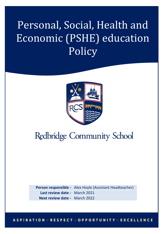# Personal, Social, Health and Economic (PSHE) education Policy



## **Redbridge Community School**

**Person responsible -** Alex Hoyle (Assistant Headteacher) **Last review date -** March 2021 **Next review date -** March 2022

#### **ASPIRATION : RESPECT : OPPORTUNITY : EXCELLENCE**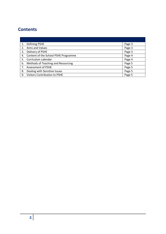### **Contents**

|    | Defining PSHE                           | Page 3 |
|----|-----------------------------------------|--------|
| 2. | Aims and Values                         | Page 3 |
| 3. | Delivery of PSHE                        | Page 3 |
|    | 4. Content of the School PSHE Programme | Page 4 |
|    | 5. Curriculum calendar                  | Page 4 |
| 6. | Methods of Teaching and Resourcing      | Page 5 |
| 7. | Assessment of PSHE                      | Page 5 |
| 8. | Dealing with Sensitive Issues           | Page 5 |
| 9. | <b>Visitors Contribution to PSHE</b>    | Page 5 |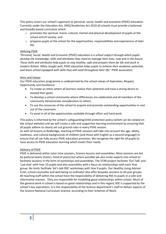This policy covers our school's approach to personal, social, health and economic (PSHE) education. Currently under the Education Act, 2002/Academies Act 2010 all schools must provide a balanced and broadly-based curriculum which:

- $\circ$  promotes the spiritual, moral, cultural, mental and physical development of pupils at the school and of society, and
- $\circ$  prepares pupils at the school for the opportunities, responsibilities and experiences of later life.

#### Defining PSHE

*'Personal, Social, Health and Economic (PSHE) education is a school subject through which pupils develop the knowledge, skills and attributes they need to manage their lives, now and in the future. These skills and attributes help pupils to stay healthy, safe and prepare them for life and work in modern Britain. When taught well, PSHE education helps pupils to achieve their academic potential, and leave school equipped with skills they will need throughout later life.*' PSHE association

#### Aims and Values

Our PSHE education programme is underpinned by the school values of Aspiration, Respect, Opportunity and Excellence.

- To create an ethos where all learners realise their potential and have a strong desire to exceed their goals.
- To develop a school community where differences are celebrated and all members of the community demonstrate consideration to others.
- To use the resources of the school to acquire and promote outstanding opportunities in and out of the classroom.
- To excel in all of the opportunities available through effort and hard work.

This policy is informed by the school's safeguarding/child protection policy (which can be viewed on the school website) and we will create a safe and supportive learning environment by ensuring that all pupils adhere to clearly set out ground rules in every PSHE session.

As with all lessons at Redbridge, teaching of PSHE sessions will take into account the age, ability, readiness, and cultural backgrounds of children [and those with English as a second language] to ensure that all can fully access PSHE education provision. We recognise the right for all pupils to have access to PSHE education learning which meets their needs.

#### Delivery of PSHE

PSHE is delivered within tutor time sessions, Science lessons and assemblies. Most sessions are led by pastoral teams (tutors, head of years) but where possible we also invite experts into school to facilitate sessions in the form of workshops and assemblies. The STAR project facilitate 'Girl Talk' and 'Lad chat' with Year 10 pupils and also assemblies with a focus on relationships with each Year group. No limits facilitate 'let's talk RSE' workshops with Year 9 pupils. Our Healthy Living Advisor ELSA, school counsellor and well-being co-ordinator also offer bespoke sessions to all year groups. All teaching staff within the school have the responsibility of delivering RSE to pupils in a safe and informative manner. They are responsible for modelling good relationships within school. Much of the general work in school is based on good relationships and in this regard, RSE is supported by the school's key aspirations. It is the responsibility of the Science department's staff to deliver aspects of the Science National Curriculum Science, according to their Schemes of Work.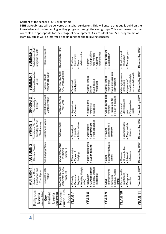#### Content of the school's PSHE programme

PSHE at Redbridge will be delivered as a spiral curriculum. This will ensure that pupils build on their knowledge and understanding as they progress through the year groups. This also means that the concepts are appropriate for their stage of development. As a result of our PSHE programme of learning, pupils will be informed and understand the following concepts:

| Religious                               | ⊢<br>Jewish - Rosh<br><b>AUTUMN</b>                               | <b>AUTUMN<sub>2</sub></b><br>Hindu - Diwali                     | Christian - Shrove<br><b>SPRING1</b>         | <b>SPRING2</b><br>Christianity                                      | Islam - Ramadan<br><b>SUMMER1</b>                                                        | <b>SUMMER 2</b><br>Celebration of all                               |
|-----------------------------------------|-------------------------------------------------------------------|-----------------------------------------------------------------|----------------------------------------------|---------------------------------------------------------------------|------------------------------------------------------------------------------------------|---------------------------------------------------------------------|
| (Assemblies)<br>Events                  | Hashanah and<br>Yom Kippur                                        |                                                                 | Tuesday & Ash<br>Wednesday                   | Easter                                                              | & Eid                                                                                    | religious beliefs                                                   |
| (Assemblies)<br>Themed<br>Events<br>Key | £<br>Sexual Healt<br>Week                                         | Anti-bullying Week                                              | Britishness week                             | Lifeskills National<br>Careers Week                                 | Awareness week<br>Mental Health                                                          | Tolerance week                                                      |
| curriculum<br>National<br>focus         | <b>SEXUAL HEALTH</b><br>AND PHYSICAL<br><b>HEALTH</b>             | <b>BULLYING AND</b><br>INTERNET<br>SAFETY                       | <b>CITIZENSHIP</b>                           | CAREERS AND<br><b>FUTURE</b>                                        | MENTAL HEALTH<br>AND WELLBEING                                                           | <b>RELATIONSHIPS</b>                                                |
| YEAR                                    | · Healthy lifestyle<br>· Personal<br>hygiene<br>Puberty<br>(diet) | Friendships<br>Types of<br>bullying                             | British values<br>Diversity<br>Equality      | Aspirations<br>Careers<br>٠                                         | intelligence<br>· Emotional                                                              | relationships<br>friendships<br>Positive<br>Teen                    |
| <b>YEAR 8</b>                           | · Healthy lifestyle<br>Gender identity<br>(exercise)<br>Sexuality | Body confidence<br>Cyber-bullying                               | Political parties<br>Government<br>Democracy | Income and<br>expenses<br>Budgets                                   | · Mental illness<br>·Self-care &<br>wellbeing<br>(intro)                                 | roles/positive<br>relationships<br>role models<br>Abusive<br>Family |
| <b>YEAR 9</b>                           | Sexual health<br>sex/consent<br>Smoking<br>(intro)<br>. Laws      | Stereotyping/pre<br>judice<br>Laws<br>$\bullet$                 | extremism &<br>Prevent-<br>terrorism         | Credit cards and<br>Post-16 options<br>Taxes and NI<br>finance<br>٠ | ·Social media and<br>· Mental illness<br>self-esteem<br>(continued)                      | Peer-pressure<br>· Exploitation                                     |
| YEAR 10                                 | · Sexual healt<br>(continued)<br>· Drugs and<br>alcohol           | Homophobia<br>influence<br>Internet<br>Racism<br>$\bullet$<br>٠ | • World issues<br>Responsible<br>citizens    | development<br>Employable<br>Personal<br>릃<br><b>Dian</b>           | on mental health<br>exam<br>healthy lifestyle<br>· Impacts of<br>· Managing<br>pressures | Revenge porn<br>Conflicts and<br>resolution                         |
| YEAR 11                                 | Directed by HOY                                                   | Directed by HOY                                                 | Directed by HOY                              | Directed by HOY                                                     | Directed by HOY                                                                          | Directed by HOY                                                     |